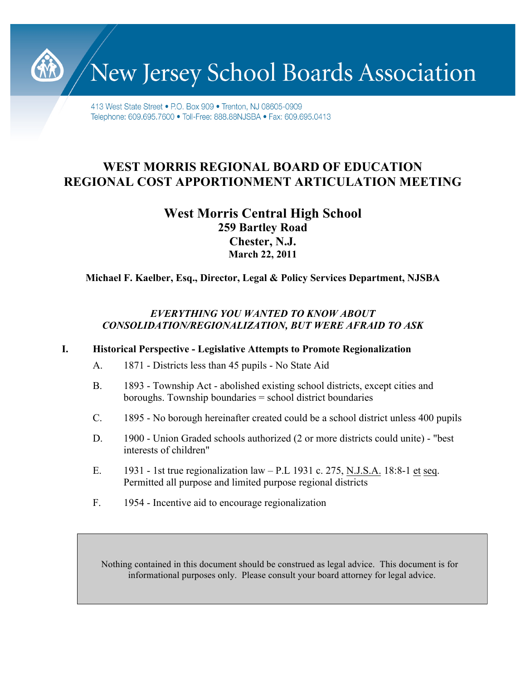New Jersey School Boards Association

413 West State Street • P.O. Box 909 • Trenton, NJ 08605-0909 Telephone: 609.695.7600 · Toll-Free: 888.88NJSBA · Fax: 609.695.0413

# **WEST MORRIS REGIONAL BOARD OF EDUCATION REGIONAL COST APPORTIONMENT ARTICULATION MEETING**

# **West Morris Central High School 259 Bartley Road Chester, N.J. March 22, 2011**

**Michael F. Kaelber, Esq., Director, Legal & Policy Services Department, NJSBA**

# *EVERYTHING YOU WANTED TO KNOW ABOUT CONSOLIDATION/REGIONALIZATION, BUT WERE AFRAID TO ASK*

## **I. Historical Perspective - Legislative Attempts to Promote Regionalization**

- A. 1871 Districts less than 45 pupils No State Aid
- B. 1893 Township Act abolished existing school districts, except cities and boroughs. Township boundaries = school district boundaries
- C. 1895 No borough hereinafter created could be a school district unless 400 pupils
- D. 1900 Union Graded schools authorized (2 or more districts could unite) "best interests of children"
- E. 1931 1st true regionalization law P.L 1931 c. 275, N.J.S.A. 18:8-1 et seq. Permitted all purpose and limited purpose regional districts
- F. 1954 Incentive aid to encourage regionalization

Nothing contained in this document should be construed as legal advice. This document is for informational purposes only. Please consult your board attorney for legal advice.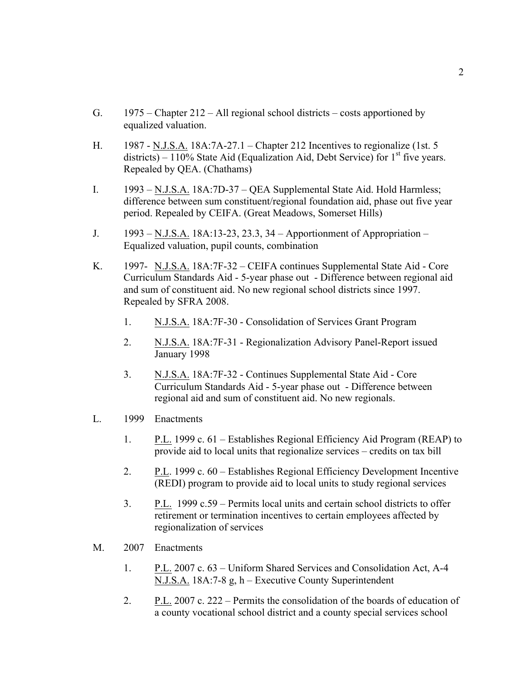- G. 1975 Chapter 212 All regional school districts costs apportioned by equalized valuation.
- H. 1987 N.J.S.A. 18A:7A-27.1 Chapter 212 Incentives to regionalize (1st. 5 districts) – 110% State Aid (Equalization Aid, Debt Service) for  $1<sup>st</sup>$  five years. Repealed by QEA. (Chathams)
- I. 1993 N.J.S.A. 18A:7D-37 QEA Supplemental State Aid. Hold Harmless; difference between sum constituent/regional foundation aid, phase out five year period. Repealed by CEIFA. (Great Meadows, Somerset Hills)
- J. 1993 N.J.S.A. 18A:13-23, 23.3, 34 Apportionment of Appropriation Equalized valuation, pupil counts, combination
- K. 1997- N.J.S.A. 18A:7F-32 CEIFA continues Supplemental State Aid Core Curriculum Standards Aid - 5-year phase out - Difference between regional aid and sum of constituent aid. No new regional school districts since 1997. Repealed by SFRA 2008.
	- 1. N.J.S.A. 18A:7F-30 Consolidation of Services Grant Program
	- 2. N.J.S.A. 18A:7F-31 Regionalization Advisory Panel-Report issued January 1998
	- 3. N.J.S.A. 18A:7F-32 Continues Supplemental State Aid Core Curriculum Standards Aid - 5-year phase out - Difference between regional aid and sum of constituent aid. No new regionals.
- L. 1999 Enactments
	- 1. P.L. 1999 c. 61 Establishes Regional Efficiency Aid Program (REAP) to provide aid to local units that regionalize services – credits on tax bill
	- 2. P.L. 1999 c. 60 Establishes Regional Efficiency Development Incentive (REDI) program to provide aid to local units to study regional services
	- 3. P.L. 1999 c.59 Permits local units and certain school districts to offer retirement or termination incentives to certain employees affected by regionalization of services
- M. 2007 Enactments
	- 1. P.L. 2007 c. 63 Uniform Shared Services and Consolidation Act, A-4 N.J.S.A. 18A:7-8 g, h – Executive County Superintendent
	- 2. P.L. 2007 c. 222 Permits the consolidation of the boards of education of a county vocational school district and a county special services school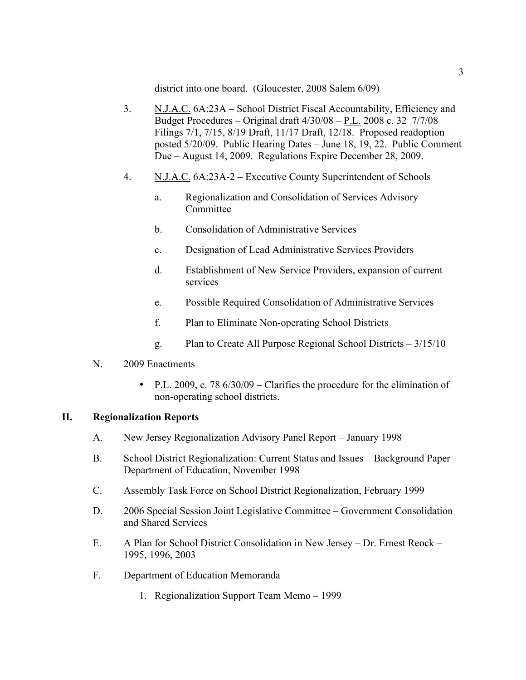district into one board. (Gloucester, 2008 Salem 6/09)

- 3. N.J.A.C. 6A:23A School District Fiscal Accountability, Efficiency and Budget Procedures – Original draft 4/30/08 – P.L. 2008 c. 32 7/7/08 Filings 7/1, 7/15, 8/19 Draft, 11/17 Draft, 12/18. Proposed readoption – posted 5/20/09. Public Hearing Dates – June 18, 19, 22. Public Comment Due – August 14, 2009. Regulations Expire December 28, 2009.
- 4. N.J.A.C. 6A:23A-2 Executive County Superintendent of Schools
	- a. Regionalization and Consolidation of Services Advisory Committee
	- b. Consolidation of Administrative Services
	- c. Designation of Lead Administrative Services Providers
	- d. Establishment of New Service Providers, expansion of current services
	- e. Possible Required Consolidation of Administrative Services
	- f. Plan to Eliminate Non-operating School Districts
	- g. Plan to Create All Purpose Regional School Districts 3/15/10
- N. 2009 Enactments
	- P.L. 2009, c. 78 6/30/09 Clarifies the procedure for the elimination of non-operating school districts.

## **II. Regionalization Reports**

- A. New Jersey Regionalization Advisory Panel Report January 1998
- B. School District Regionalization: Current Status and Issues Background Paper Department of Education, November 1998
- C. Assembly Task Force on School District Regionalization, February 1999
- D. 2006 Special Session Joint Legislative Committee Government Consolidation and Shared Services
- E. A Plan for School District Consolidation in New Jersey Dr. Ernest Reock 1995, 1996, 2003
- F. Department of Education Memoranda
	- 1. Regionalization Support Team Memo 1999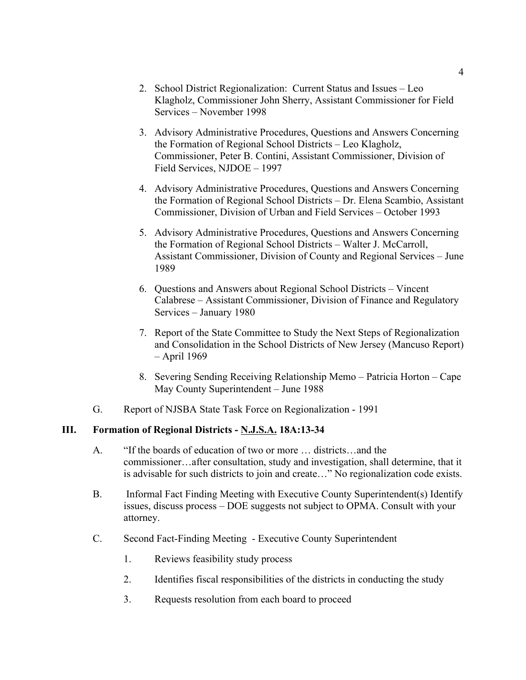- 2. School District Regionalization: Current Status and Issues Leo Klagholz, Commissioner John Sherry, Assistant Commissioner for Field Services – November 1998
- 3. Advisory Administrative Procedures, Questions and Answers Concerning the Formation of Regional School Districts – Leo Klagholz, Commissioner, Peter B. Contini, Assistant Commissioner, Division of Field Services, NJDOE – 1997
- 4. Advisory Administrative Procedures, Questions and Answers Concerning the Formation of Regional School Districts – Dr. Elena Scambio, Assistant Commissioner, Division of Urban and Field Services – October 1993
- 5. Advisory Administrative Procedures, Questions and Answers Concerning the Formation of Regional School Districts – Walter J. McCarroll, Assistant Commissioner, Division of County and Regional Services – June 1989
- 6. Questions and Answers about Regional School Districts Vincent Calabrese – Assistant Commissioner, Division of Finance and Regulatory Services – January 1980
- 7. Report of the State Committee to Study the Next Steps of Regionalization and Consolidation in the School Districts of New Jersey (Mancuso Report) – April 1969
- 8. Severing Sending Receiving Relationship Memo Patricia Horton Cape May County Superintendent – June 1988
- G. Report of NJSBA State Task Force on Regionalization 1991

## **III. Formation of Regional Districts - N.J.S.A. 18A:13-34**

- A. "If the boards of education of two or more … districts…and the commissioner…after consultation, study and investigation, shall determine, that it is advisable for such districts to join and create…" No regionalization code exists.
- B. Informal Fact Finding Meeting with Executive County Superintendent(s) Identify issues, discuss process – DOE suggests not subject to OPMA. Consult with your attorney.
- C. Second Fact-Finding Meeting Executive County Superintendent
	- 1. Reviews feasibility study process
	- 2. Identifies fiscal responsibilities of the districts in conducting the study
	- 3. Requests resolution from each board to proceed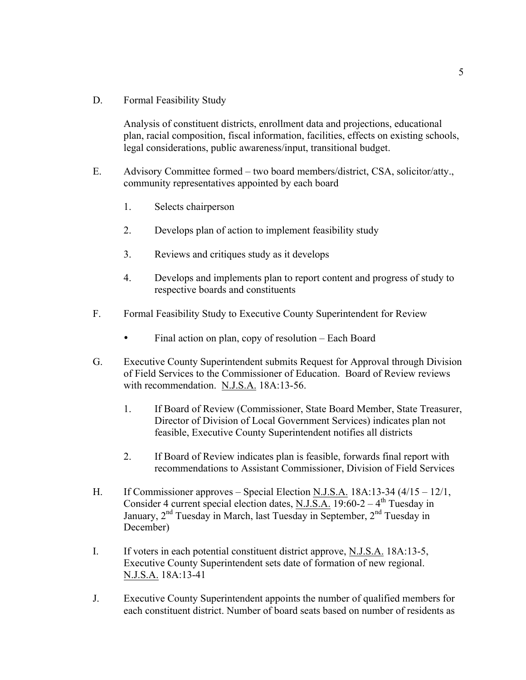D. Formal Feasibility Study

Analysis of constituent districts, enrollment data and projections, educational plan, racial composition, fiscal information, facilities, effects on existing schools, legal considerations, public awareness/input, transitional budget.

- E. Advisory Committee formed two board members/district, CSA, solicitor/atty., community representatives appointed by each board
	- 1. Selects chairperson
	- 2. Develops plan of action to implement feasibility study
	- 3. Reviews and critiques study as it develops
	- 4. Develops and implements plan to report content and progress of study to respective boards and constituents
- F. Formal Feasibility Study to Executive County Superintendent for Review
	- Final action on plan, copy of resolution Each Board
- G. Executive County Superintendent submits Request for Approval through Division of Field Services to the Commissioner of Education. Board of Review reviews with recommendation. N.J.S.A. 18A:13-56.
	- 1. If Board of Review (Commissioner, State Board Member, State Treasurer, Director of Division of Local Government Services) indicates plan not feasible, Executive County Superintendent notifies all districts
	- 2. If Board of Review indicates plan is feasible, forwards final report with recommendations to Assistant Commissioner, Division of Field Services
- H. If Commissioner approves Special Election N.J.S.A. 18A:13-34 (4/15 12/1, Consider 4 current special election dates, N.J.S.A. 19:60-2 –  $4<sup>th</sup>$  Tuesday in January, 2<sup>nd</sup> Tuesday in March, last Tuesday in September, 2<sup>nd</sup> Tuesday in December)
- I. If voters in each potential constituent district approve, N.J.S.A. 18A:13-5, Executive County Superintendent sets date of formation of new regional. N.J.S.A. 18A:13-41
- J. Executive County Superintendent appoints the number of qualified members for each constituent district. Number of board seats based on number of residents as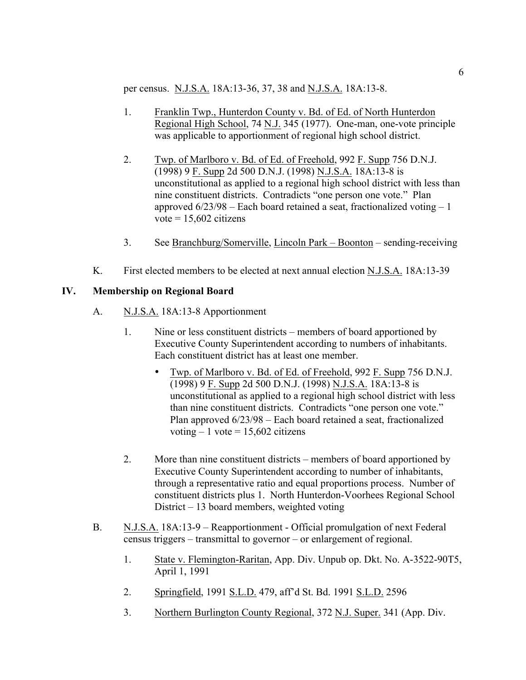per census. N.J.S.A. 18A:13-36, 37, 38 and N.J.S.A. 18A:13-8.

- 1. Franklin Twp., Hunterdon County v. Bd. of Ed. of North Hunterdon Regional High School, 74 N.J. 345 (1977). One-man, one-vote principle was applicable to apportionment of regional high school district.
- 2. Twp. of Marlboro v. Bd. of Ed. of Freehold, 992 F. Supp 756 D.N.J. (1998) 9 F. Supp 2d 500 D.N.J. (1998) N.J.S.A. 18A:13-8 is unconstitutional as applied to a regional high school district with less than nine constituent districts. Contradicts "one person one vote." Plan approved  $6/23/98$  – Each board retained a seat, fractionalized voting – 1 vote  $= 15,602$  citizens
- 3. See Branchburg/Somerville, Lincoln Park Boonton sending-receiving
- K. First elected members to be elected at next annual election N.J.S.A. 18A:13-39

## **IV. Membership on Regional Board**

- A. N.J.S.A. 18A:13-8 Apportionment
	- 1. Nine or less constituent districts members of board apportioned by Executive County Superintendent according to numbers of inhabitants. Each constituent district has at least one member.
		- Twp. of Marlboro v. Bd. of Ed. of Freehold, 992 F. Supp 756 D.N.J. (1998) 9 F. Supp 2d 500 D.N.J. (1998) N.J.S.A. 18A:13-8 is unconstitutional as applied to a regional high school district with less than nine constituent districts. Contradicts "one person one vote." Plan approved 6/23/98 – Each board retained a seat, fractionalized voting  $-1$  vote  $= 15,602$  citizens
	- 2. More than nine constituent districts members of board apportioned by Executive County Superintendent according to number of inhabitants, through a representative ratio and equal proportions process. Number of constituent districts plus 1. North Hunterdon-Voorhees Regional School District – 13 board members, weighted voting
- B. N.J.S.A. 18A:13-9 Reapportionment Official promulgation of next Federal census triggers – transmittal to governor – or enlargement of regional.
	- 1. State v. Flemington-Raritan, App. Div. Unpub op. Dkt. No. A-3522-90T5, April 1, 1991
	- 2. Springfield, 1991 S.L.D. 479, aff'd St. Bd. 1991 S.L.D. 2596
	- 3. Northern Burlington County Regional, 372 N.J. Super. 341 (App. Div.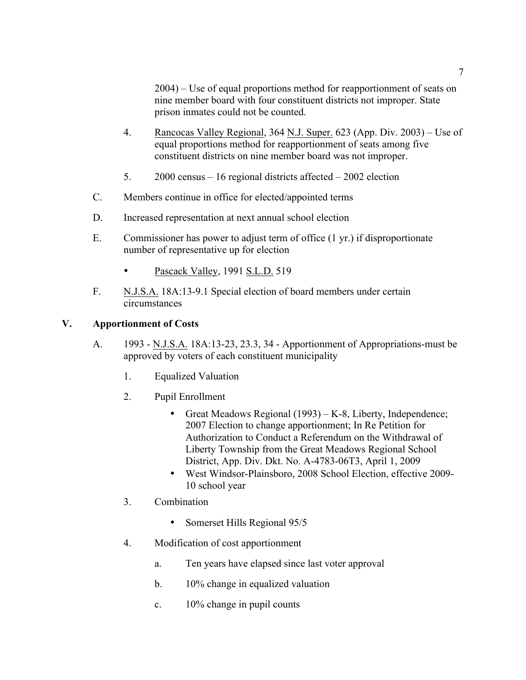2004) – Use of equal proportions method for reapportionment of seats on nine member board with four constituent districts not improper. State prison inmates could not be counted.

- 4. Rancocas Valley Regional, 364 N.J. Super. 623 (App. Div. 2003) Use of equal proportions method for reapportionment of seats among five constituent districts on nine member board was not improper.
- 5. 2000 census 16 regional districts affected 2002 election
- C. Members continue in office for elected/appointed terms
- D. Increased representation at next annual school election
- E. Commissioner has power to adjust term of office (1 yr.) if disproportionate number of representative up for election
	- Pascack Valley, 1991 S.L.D. 519
- F. N.J.S.A. 18A:13-9.1 Special election of board members under certain circumstances

## **V. Apportionment of Costs**

- A. 1993 N.J.S.A. 18A:13-23, 23.3, 34 Apportionment of Appropriations-must be approved by voters of each constituent municipality
	- 1. Equalized Valuation
	- 2. Pupil Enrollment
		- Great Meadows Regional (1993) K-8, Liberty, Independence; 2007 Election to change apportionment; In Re Petition for Authorization to Conduct a Referendum on the Withdrawal of Liberty Township from the Great Meadows Regional School District, App. Div. Dkt. No. A-4783-06T3, April 1, 2009
		- West Windsor-Plainsboro, 2008 School Election, effective 2009- 10 school year
	- 3. Combination
		- Somerset Hills Regional 95/5
	- 4. Modification of cost apportionment
		- a. Ten years have elapsed since last voter approval
		- b. 10% change in equalized valuation
		- c. 10% change in pupil counts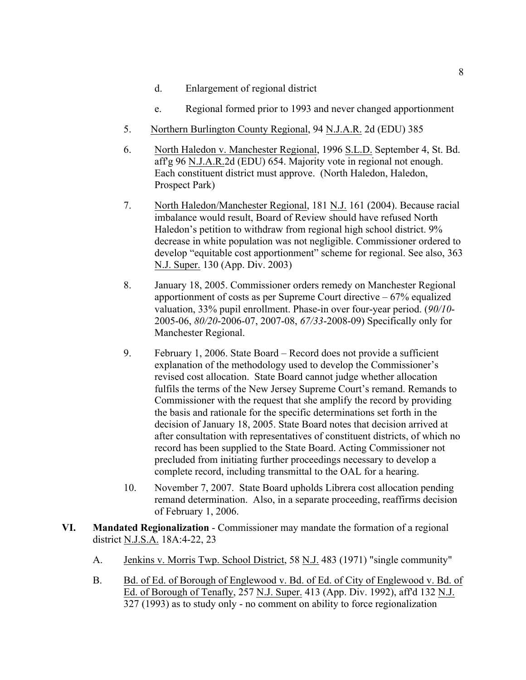- d. Enlargement of regional district
- e. Regional formed prior to 1993 and never changed apportionment
- 5. Northern Burlington County Regional, 94 N.J.A.R. 2d (EDU) 385
- 6. North Haledon v. Manchester Regional, 1996 S.L.D. September 4, St. Bd. aff'g 96 N.J.A.R.2d (EDU) 654. Majority vote in regional not enough. Each constituent district must approve. (North Haledon, Haledon, Prospect Park)
- 7. North Haledon/Manchester Regional, 181 N.J. 161 (2004). Because racial imbalance would result, Board of Review should have refused North Haledon's petition to withdraw from regional high school district. 9% decrease in white population was not negligible. Commissioner ordered to develop "equitable cost apportionment" scheme for regional. See also, 363 N.J. Super. 130 (App. Div. 2003)
- 8. January 18, 2005. Commissioner orders remedy on Manchester Regional apportionment of costs as per Supreme Court directive – 67% equalized valuation, 33% pupil enrollment. Phase-in over four-year period. (*90/10*- 2005-06, *80/20*-2006-07, 2007-08, *67/33*-2008-09) Specifically only for Manchester Regional.
- 9. February 1, 2006. State Board Record does not provide a sufficient explanation of the methodology used to develop the Commissioner's revised cost allocation. State Board cannot judge whether allocation fulfils the terms of the New Jersey Supreme Court's remand. Remands to Commissioner with the request that she amplify the record by providing the basis and rationale for the specific determinations set forth in the decision of January 18, 2005. State Board notes that decision arrived at after consultation with representatives of constituent districts, of which no record has been supplied to the State Board. Acting Commissioner not precluded from initiating further proceedings necessary to develop a complete record, including transmittal to the OAL for a hearing.
- 10. November 7, 2007. State Board upholds Librera cost allocation pending remand determination. Also, in a separate proceeding, reaffirms decision of February 1, 2006.
- **VI. Mandated Regionalization**  Commissioner may mandate the formation of a regional district N.J.S.A. 18A:4-22, 23
	- A. Jenkins v. Morris Twp. School District, 58 N.J. 483 (1971) "single community"
	- B. Bd. of Ed. of Borough of Englewood v. Bd. of Ed. of City of Englewood v. Bd. of Ed. of Borough of Tenafly, 257 N.J. Super. 413 (App. Div. 1992), aff'd 132 N.J. 327 (1993) as to study only - no comment on ability to force regionalization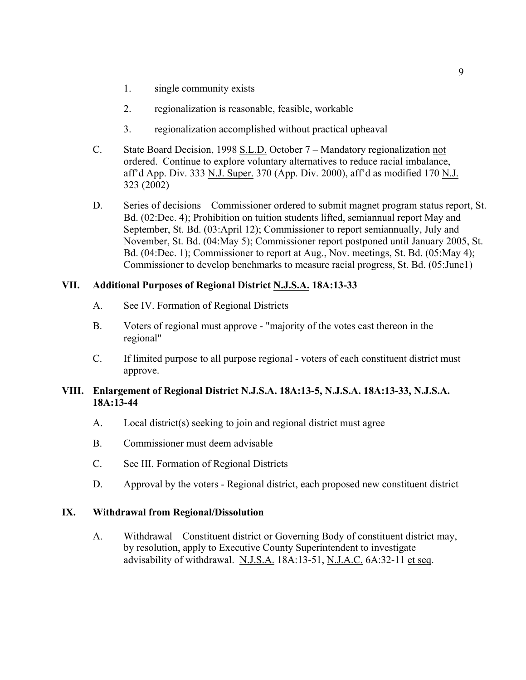- 1. single community exists
- 2. regionalization is reasonable, feasible, workable
- 3. regionalization accomplished without practical upheaval
- C. State Board Decision, 1998 S.L.D. October 7 Mandatory regionalization not ordered. Continue to explore voluntary alternatives to reduce racial imbalance, aff'd App. Div. 333 N.J. Super. 370 (App. Div. 2000), aff'd as modified 170 N.J. 323 (2002)
- D. Series of decisions Commissioner ordered to submit magnet program status report, St. Bd. (02:Dec. 4); Prohibition on tuition students lifted, semiannual report May and September, St. Bd. (03:April 12); Commissioner to report semiannually, July and November, St. Bd. (04:May 5); Commissioner report postponed until January 2005, St. Bd. (04:Dec. 1); Commissioner to report at Aug., Nov. meetings, St. Bd. (05:May 4); Commissioner to develop benchmarks to measure racial progress, St. Bd. (05:June1)

## **VII. Additional Purposes of Regional District N.J.S.A. 18A:13-33**

- A. See IV. Formation of Regional Districts
- B. Voters of regional must approve "majority of the votes cast thereon in the regional"
- C. If limited purpose to all purpose regional voters of each constituent district must approve.

#### **VIII. Enlargement of Regional District N.J.S.A. 18A:13-5, N.J.S.A. 18A:13-33, N.J.S.A. 18A:13-44**

- A. Local district(s) seeking to join and regional district must agree
- B. Commissioner must deem advisable
- C. See III. Formation of Regional Districts
- D. Approval by the voters Regional district, each proposed new constituent district

#### **IX. Withdrawal from Regional/Dissolution**

A. Withdrawal – Constituent district or Governing Body of constituent district may, by resolution, apply to Executive County Superintendent to investigate advisability of withdrawal. N.J.S.A. 18A:13-51, N.J.A.C. 6A:32-11 et seq.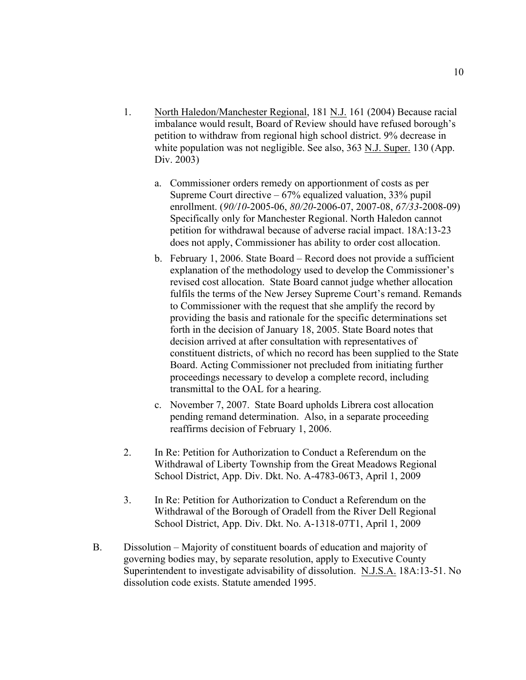- 1. North Haledon/Manchester Regional, 181 N.J. 161 (2004) Because racial imbalance would result, Board of Review should have refused borough's petition to withdraw from regional high school district. 9% decrease in white population was not negligible. See also, 363 N.J. Super. 130 (App. Div. 2003)
	- a. Commissioner orders remedy on apportionment of costs as per Supreme Court directive  $-67%$  equalized valuation, 33% pupil enrollment. (*90/10*-2005-06, *80/20*-2006-07, 2007-08, *67/33*-2008-09) Specifically only for Manchester Regional. North Haledon cannot petition for withdrawal because of adverse racial impact. 18A:13-23 does not apply, Commissioner has ability to order cost allocation.
	- b. February 1, 2006. State Board Record does not provide a sufficient explanation of the methodology used to develop the Commissioner's revised cost allocation. State Board cannot judge whether allocation fulfils the terms of the New Jersey Supreme Court's remand. Remands to Commissioner with the request that she amplify the record by providing the basis and rationale for the specific determinations set forth in the decision of January 18, 2005. State Board notes that decision arrived at after consultation with representatives of constituent districts, of which no record has been supplied to the State Board. Acting Commissioner not precluded from initiating further proceedings necessary to develop a complete record, including transmittal to the OAL for a hearing.
	- c. November 7, 2007. State Board upholds Librera cost allocation pending remand determination. Also, in a separate proceeding reaffirms decision of February 1, 2006.
- 2. In Re: Petition for Authorization to Conduct a Referendum on the Withdrawal of Liberty Township from the Great Meadows Regional School District, App. Div. Dkt. No. A-4783-06T3, April 1, 2009
- 3. In Re: Petition for Authorization to Conduct a Referendum on the Withdrawal of the Borough of Oradell from the River Dell Regional School District, App. Div. Dkt. No. A-1318-07T1, April 1, 2009
- B. Dissolution Majority of constituent boards of education and majority of governing bodies may, by separate resolution, apply to Executive County Superintendent to investigate advisability of dissolution. N.J.S.A. 18A:13-51. No dissolution code exists. Statute amended 1995.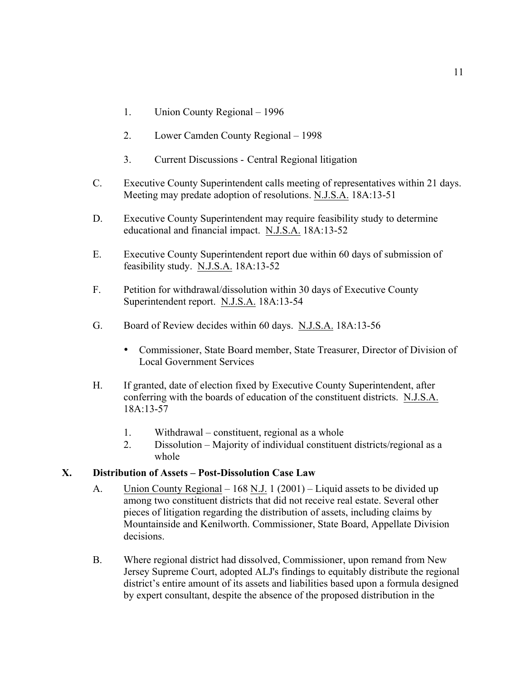- 1. Union County Regional 1996
- 2. Lower Camden County Regional 1998
- 3. Current Discussions Central Regional litigation
- C. Executive County Superintendent calls meeting of representatives within 21 days. Meeting may predate adoption of resolutions. N.J.S.A. 18A:13-51
- D. Executive County Superintendent may require feasibility study to determine educational and financial impact. N.J.S.A. 18A:13-52
- E. Executive County Superintendent report due within 60 days of submission of feasibility study. N.J.S.A. 18A:13-52
- F. Petition for withdrawal/dissolution within 30 days of Executive County Superintendent report. N.J.S.A. 18A:13-54
- G. Board of Review decides within 60 days. N.J.S.A. 18A:13-56
	- Commissioner, State Board member, State Treasurer, Director of Division of Local Government Services
- H. If granted, date of election fixed by Executive County Superintendent, after conferring with the boards of education of the constituent districts. N.J.S.A. 18A:13-57
	- 1. Withdrawal constituent, regional as a whole
	- 2. Dissolution Majority of individual constituent districts/regional as a whole

### **X. Distribution of Assets – Post-Dissolution Case Law**

- A. Union County Regional 168 N.J. 1 (2001) Liquid assets to be divided up among two constituent districts that did not receive real estate. Several other pieces of litigation regarding the distribution of assets, including claims by Mountainside and Kenilworth. Commissioner, State Board, Appellate Division decisions.
- B. Where regional district had dissolved, Commissioner, upon remand from New Jersey Supreme Court, adopted ALJ's findings to equitably distribute the regional district's entire amount of its assets and liabilities based upon a formula designed by expert consultant, despite the absence of the proposed distribution in the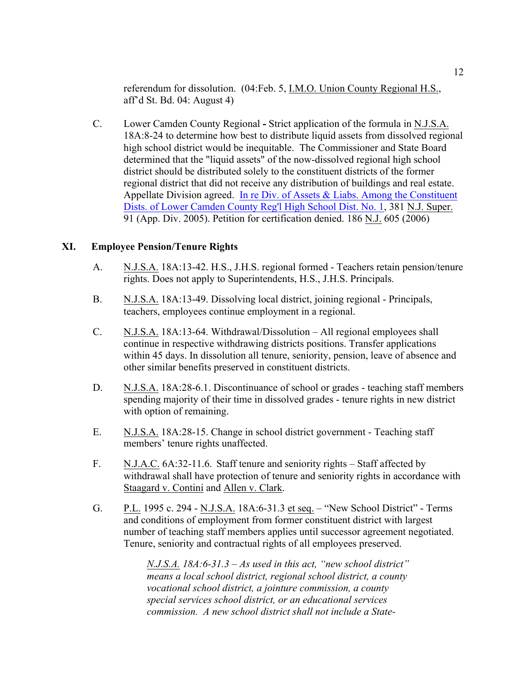referendum for dissolution. (04:Feb. 5, I.M.O. Union County Regional H.S., aff'd St. Bd. 04: August 4)

C. Lower Camden County Regional **-** Strict application of the formula in N.J.S.A. 18A:8-24 to determine how best to distribute liquid assets from dissolved regional high school district would be inequitable. The Commissioner and State Board determined that the "liquid assets" of the now-dissolved regional high school district should be distributed solely to the constituent districts of the former regional district that did not receive any distribution of buildings and real estate. Appellate Division agreed. In re Div. of Assets & Liabs. Among the Constituent Dists. of Lower Camden County Reg'l High School Dist. No. 1, 381 N.J. Super. 91 (App. Div. 2005). Petition for certification denied. 186 N.J. 605 (2006)

### **XI. Employee Pension/Tenure Rights**

- A. N.J.S.A. 18A:13-42. H.S., J.H.S. regional formed Teachers retain pension/tenure rights. Does not apply to Superintendents, H.S., J.H.S. Principals.
- B. N.J.S.A. 18A:13-49. Dissolving local district, joining regional Principals, teachers, employees continue employment in a regional.
- C. N.J.S.A. 18A:13-64. Withdrawal/Dissolution All regional employees shall continue in respective withdrawing districts positions. Transfer applications within 45 days. In dissolution all tenure, seniority, pension, leave of absence and other similar benefits preserved in constituent districts.
- D. N.J.S.A. 18A:28-6.1. Discontinuance of school or grades teaching staff members spending majority of their time in dissolved grades - tenure rights in new district with option of remaining.
- E. N.J.S.A. 18A:28-15. Change in school district government Teaching staff members' tenure rights unaffected.
- F. N.J.A.C. 6A:32-11.6. Staff tenure and seniority rights Staff affected by withdrawal shall have protection of tenure and seniority rights in accordance with Staagard v. Contini and Allen v. Clark.
- G. P.L. 1995 c. 294 N.J.S.A. 18A:6-31.3 et seq. "New School District" Terms and conditions of employment from former constituent district with largest number of teaching staff members applies until successor agreement negotiated. Tenure, seniority and contractual rights of all employees preserved.

*N.J.S.A. 18A:6-31.3 – As used in this act, "new school district" means a local school district, regional school district, a county vocational school district, a jointure commission, a county special services school district, or an educational services commission. A new school district shall not include a State-*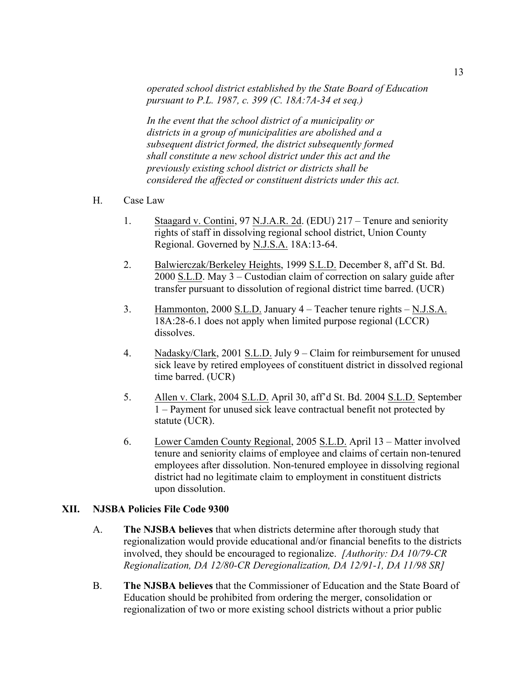*operated school district established by the State Board of Education pursuant to P.L. 1987, c. 399 (C. 18A:7A-34 et seq.)*

*In the event that the school district of a municipality or districts in a group of municipalities are abolished and a subsequent district formed, the district subsequently formed shall constitute a new school district under this act and the previously existing school district or districts shall be considered the affected or constituent districts under this act.*

- H. Case Law
	- 1. Staagard v. Contini, 97 N.J.A.R. 2d. (EDU) 217 Tenure and seniority rights of staff in dissolving regional school district, Union County Regional. Governed by N.J.S.A. 18A:13-64.
	- 2. Balwierczak/Berkeley Heights, 1999 S.L.D. December 8, aff'd St. Bd. 2000 S.L.D. May 3 – Custodian claim of correction on salary guide after transfer pursuant to dissolution of regional district time barred. (UCR)
	- 3. Hammonton, 2000 S.L.D. January 4 Teacher tenure rights N.J.S.A. 18A:28-6.1 does not apply when limited purpose regional (LCCR) dissolves.
	- 4. Nadasky/Clark, 2001 S.L.D. July 9 Claim for reimbursement for unused sick leave by retired employees of constituent district in dissolved regional time barred. (UCR)
	- 5. Allen v. Clark, 2004 S.L.D. April 30, aff'd St. Bd. 2004 S.L.D. September 1 – Payment for unused sick leave contractual benefit not protected by statute (UCR).
	- 6. Lower Camden County Regional, 2005 S.L.D. April 13 Matter involved tenure and seniority claims of employee and claims of certain non-tenured employees after dissolution. Non-tenured employee in dissolving regional district had no legitimate claim to employment in constituent districts upon dissolution.

#### **XII. NJSBA Policies File Code 9300**

- A. **The NJSBA believes** that when districts determine after thorough study that regionalization would provide educational and/or financial benefits to the districts involved, they should be encouraged to regionalize. *[Authority: DA 10/79-CR Regionalization, DA 12/80-CR Deregionalization, DA 12/91-1, DA 11/98 SR]*
- B. **The NJSBA believes** that the Commissioner of Education and the State Board of Education should be prohibited from ordering the merger, consolidation or regionalization of two or more existing school districts without a prior public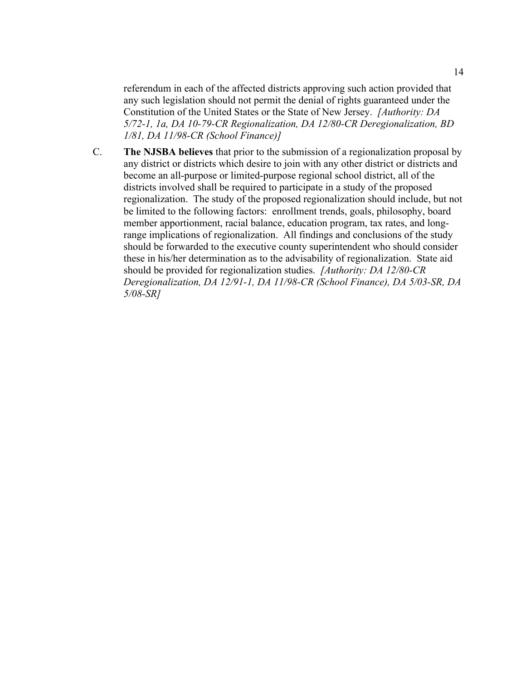referendum in each of the affected districts approving such action provided that any such legislation should not permit the denial of rights guaranteed under the Constitution of the United States or the State of New Jersey. *[Authority: DA 5/72-1, 1a, DA 10-79-CR Regionalization, DA 12/80-CR Deregionalization, BD 1/81, DA 11/98-CR (School Finance)]*

C. **The NJSBA believes** that prior to the submission of a regionalization proposal by any district or districts which desire to join with any other district or districts and become an all-purpose or limited-purpose regional school district, all of the districts involved shall be required to participate in a study of the proposed regionalization. The study of the proposed regionalization should include, but not be limited to the following factors: enrollment trends, goals, philosophy, board member apportionment, racial balance, education program, tax rates, and longrange implications of regionalization. All findings and conclusions of the study should be forwarded to the executive county superintendent who should consider these in his/her determination as to the advisability of regionalization. State aid should be provided for regionalization studies. *[Authority: DA 12/80-CR Deregionalization, DA 12/91-1, DA 11/98-CR (School Finance), DA 5/03-SR, DA 5/08-SR]*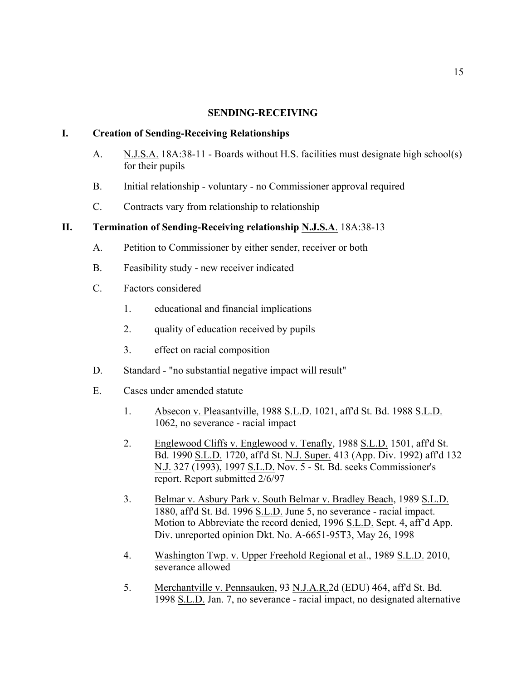#### **SENDING-RECEIVING**

#### **I. Creation of Sending-Receiving Relationships**

- A. N.J.S.A. 18A:38-11 Boards without H.S. facilities must designate high school(s) for their pupils
- B. Initial relationship voluntary no Commissioner approval required
- C. Contracts vary from relationship to relationship

#### **II. Termination of Sending-Receiving relationship N.J.S.A**. 18A:38-13

- A. Petition to Commissioner by either sender, receiver or both
- B. Feasibility study new receiver indicated
- C. Factors considered
	- 1. educational and financial implications
	- 2. quality of education received by pupils
	- 3. effect on racial composition
- D. Standard "no substantial negative impact will result"
- E. Cases under amended statute
	- 1. Absecon v. Pleasantville, 1988 S.L.D. 1021, aff'd St. Bd. 1988 S.L.D. 1062, no severance - racial impact
	- 2. Englewood Cliffs v. Englewood v. Tenafly, 1988 S.L.D. 1501, aff'd St. Bd. 1990 S.L.D. 1720, aff'd St. N.J. Super. 413 (App. Div. 1992) aff'd 132 N.J. 327 (1993), 1997 S.L.D. Nov. 5 - St. Bd. seeks Commissioner's report. Report submitted 2/6/97
	- 3. Belmar v. Asbury Park v. South Belmar v. Bradley Beach, 1989 S.L.D. 1880, aff'd St. Bd. 1996 S.L.D. June 5, no severance - racial impact. Motion to Abbreviate the record denied, 1996 S.L.D. Sept. 4, aff'd App. Div. unreported opinion Dkt. No. A-6651-95T3, May 26, 1998
	- 4. Washington Twp. v. Upper Freehold Regional et al., 1989 S.L.D. 2010, severance allowed
	- 5. Merchantville v. Pennsauken, 93 N.J.A.R.2d (EDU) 464, aff'd St. Bd. 1998 S.L.D. Jan. 7, no severance - racial impact, no designated alternative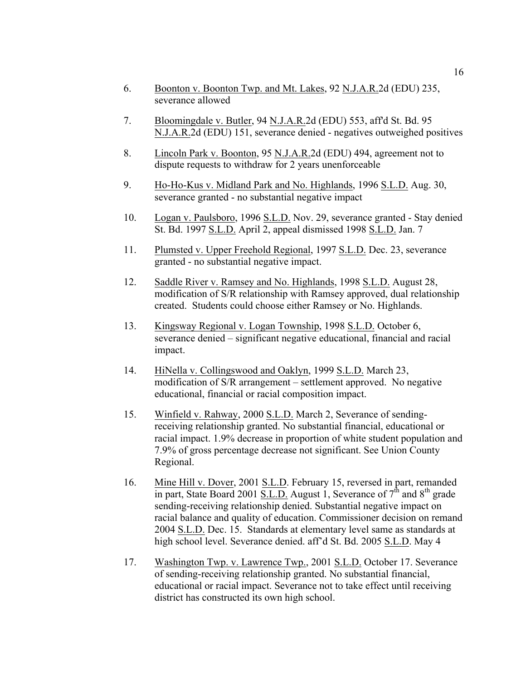- 6. Boonton v. Boonton Twp. and Mt. Lakes, 92 N.J.A.R.2d (EDU) 235, severance allowed
- 7. Bloomingdale v. Butler, 94 N.J.A.R.2d (EDU) 553, aff'd St. Bd. 95 N.J.A.R.2d (EDU) 151, severance denied - negatives outweighed positives
- 8. Lincoln Park v. Boonton, 95 N.J.A.R.2d (EDU) 494, agreement not to dispute requests to withdraw for 2 years unenforceable
- 9. Ho-Ho-Kus v. Midland Park and No. Highlands, 1996 S.L.D. Aug. 30, severance granted - no substantial negative impact
- 10. Logan v. Paulsboro, 1996 S.L.D. Nov. 29, severance granted Stay denied St. Bd. 1997 S.L.D. April 2, appeal dismissed 1998 S.L.D. Jan. 7
- 11. Plumsted v. Upper Freehold Regional, 1997 S.L.D. Dec. 23, severance granted - no substantial negative impact.
- 12. Saddle River v. Ramsey and No. Highlands, 1998 S.L.D. August 28, modification of S/R relationship with Ramsey approved, dual relationship created. Students could choose either Ramsey or No. Highlands.
- 13. Kingsway Regional v. Logan Township, 1998 S.L.D. October 6, severance denied – significant negative educational, financial and racial impact.
- 14. HiNella v. Collingswood and Oaklyn, 1999 S.L.D. March 23, modification of S/R arrangement – settlement approved. No negative educational, financial or racial composition impact.
- 15. Winfield v. Rahway, 2000 S.L.D. March 2, Severance of sendingreceiving relationship granted. No substantial financial, educational or racial impact. 1.9% decrease in proportion of white student population and 7.9% of gross percentage decrease not significant. See Union County Regional.
- 16. Mine Hill v. Dover, 2001 S.L.D. February 15, reversed in part, remanded in part, State Board 2001 S.L.D. August 1, Severance of  $7<sup>th</sup>$  and  $8<sup>th</sup>$  grade sending-receiving relationship denied. Substantial negative impact on racial balance and quality of education. Commissioner decision on remand 2004 S.L.D. Dec. 15. Standards at elementary level same as standards at high school level. Severance denied. aff'd St. Bd. 2005 S.L.D. May 4
- 17. Washington Twp. v. Lawrence Twp., 2001 S.L.D. October 17. Severance of sending-receiving relationship granted. No substantial financial, educational or racial impact. Severance not to take effect until receiving district has constructed its own high school.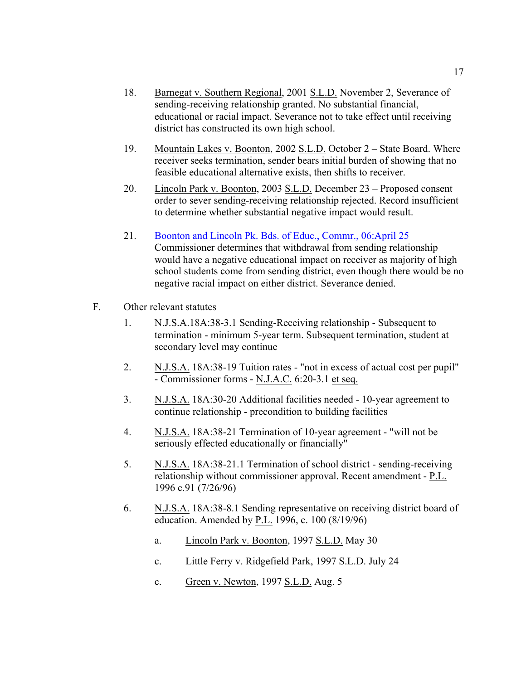- 18. Barnegat v. Southern Regional, 2001 S.L.D. November 2, Severance of sending-receiving relationship granted. No substantial financial, educational or racial impact. Severance not to take effect until receiving district has constructed its own high school.
- 19. Mountain Lakes v. Boonton, 2002 S.L.D. October 2 State Board. Where receiver seeks termination, sender bears initial burden of showing that no feasible educational alternative exists, then shifts to receiver.
- 20. Lincoln Park v. Boonton, 2003 S.L.D. December 23 Proposed consent order to sever sending-receiving relationship rejected. Record insufficient to determine whether substantial negative impact would result.
- 21. Boonton and Lincoln Pk. Bds. of Educ., Commr., 06:April 25 Commissioner determines that withdrawal from sending relationship would have a negative educational impact on receiver as majority of high school students come from sending district, even though there would be no negative racial impact on either district. Severance denied.
- F. Other relevant statutes
	- 1. N.J.S.A.18A:38-3.1 Sending-Receiving relationship Subsequent to termination - minimum 5-year term. Subsequent termination, student at secondary level may continue
	- 2. N.J.S.A. 18A:38-19 Tuition rates "not in excess of actual cost per pupil" - Commissioner forms - N.J.A.C. 6:20-3.1 et seq.
	- 3. N.J.S.A. 18A:30-20 Additional facilities needed 10-year agreement to continue relationship - precondition to building facilities
	- 4. N.J.S.A. 18A:38-21 Termination of 10-year agreement "will not be seriously effected educationally or financially"
	- 5. N.J.S.A. 18A:38-21.1 Termination of school district sending-receiving relationship without commissioner approval. Recent amendment - P.L. 1996 c.91 (7/26/96)
	- 6. N.J.S.A. 18A:38-8.1 Sending representative on receiving district board of education. Amended by P.L. 1996, c. 100 (8/19/96)
		- a. Lincoln Park v. Boonton, 1997 S.L.D. May 30
		- c. Little Ferry v. Ridgefield Park, 1997 S.L.D. July 24
		- c. Green v. Newton, 1997 S.L.D. Aug. 5